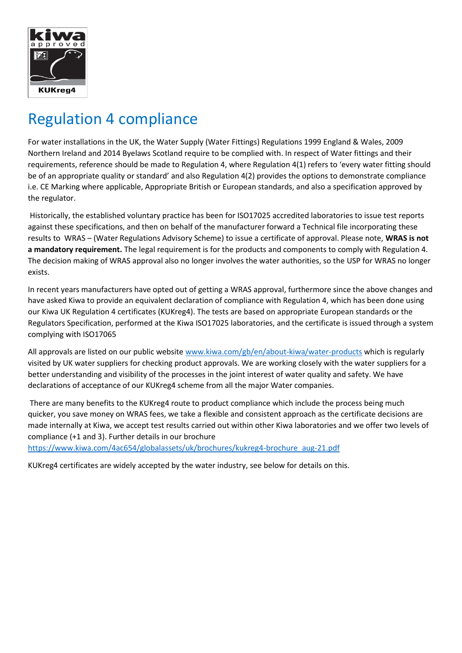

## Regulation 4 compliance

For water installations in the UK, the Water Supply (Water Fittings) Regulations 1999 England & Wales, 2009 Northern Ireland and 2014 Byelaws Scotland require to be complied with. In respect of Water fittings and their requirements, reference should be made to Regulation 4, where Regulation 4(1) refers to 'every water fitting should be of an appropriate quality or standard' and also Regulation 4(2) provides the options to demonstrate compliance i.e. CE Marking where applicable, Appropriate British or European standards, and also a specification approved by the regulator.

Historically, the established voluntary practice has been for ISO17025 accredited laboratories to issue test reports against these specifications, and then on behalf of the manufacturer forward a Technical file incorporating these results to WRAS – (Water Regulations Advisory Scheme) to issue a certificate of approval. Please note, **WRAS is not a mandatory requirement.** The legal requirement is for the products and components to comply with Regulation 4. The decision making of WRAS approval also no longer involves the water authorities, so the USP for WRAS no longer exists.

In recent years manufacturers have opted out of getting a WRAS approval, furthermore since the above changes and have asked Kiwa to provide an equivalent declaration of compliance with Regulation 4, which has been done using our Kiwa UK Regulation 4 certificates (KUKreg4). The tests are based on appropriate European standards or the Regulators Specification, performed at the Kiwa ISO17025 laboratories, and the certificate is issued through a system complying with ISO17065

All approvals are listed on our public website [www.kiwa.com/gb/en/about-kiwa/water-products](http://www.kiwa.com/gb/en/about-kiwa/water-products) which is regularly visited by UK water suppliers for checking product approvals. We are working closely with the water suppliers for a better understanding and visibility of the processes in the joint interest of water quality and safety. We have declarations of acceptance of our KUKreg4 scheme from all the major Water companies.

There are many benefits to the KUKreg4 route to product compliance which include the process being much quicker, you save money on WRAS fees, we take a flexible and consistent approach as the certificate decisions are made internally at Kiwa, we accept test results carried out within other Kiwa laboratories and we offer two levels of compliance (+1 and 3). Further details in our brochure

[https://www.kiwa.com/4ac654/globalassets/uk/brochures/kukreg4-brochure\\_aug-21.pdf](https://www.kiwa.com/4ac654/globalassets/uk/brochures/kukreg4-brochure_aug-21.pdf)

KUKreg4 certificates are widely accepted by the water industry, see below for details on this.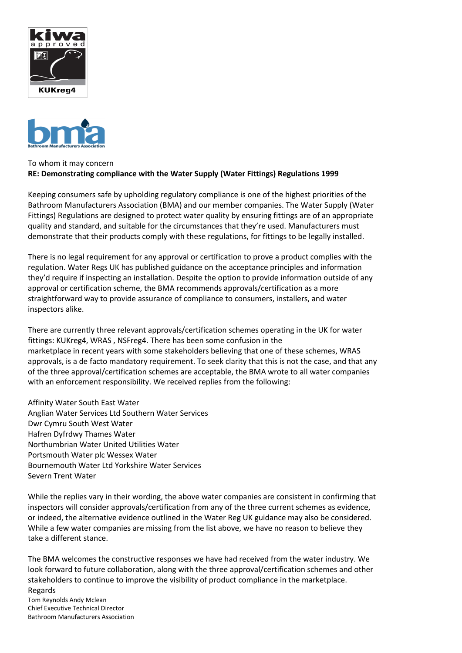



## To whom it may concern **RE: Demonstrating compliance with the Water Supply (Water Fittings) Regulations 1999**

Keeping consumers safe by upholding regulatory compliance is one of the highest priorities of the Bathroom Manufacturers Association (BMA) and our member companies. The Water Supply (Water Fittings) Regulations are designed to protect water quality by ensuring fittings are of an appropriate quality and standard, and suitable for the circumstances that they're used. Manufacturers must demonstrate that their products comply with these regulations, for fittings to be legally installed.

There is no legal requirement for any approval or certification to prove a product complies with the regulation. Water Regs UK has published guidance on the acceptance principles and information they'd require if inspecting an installation. Despite the option to provide information outside of any approval or certification scheme, the BMA recommends approvals/certification as a more straightforward way to provide assurance of compliance to consumers, installers, and water inspectors alike.

There are currently three relevant approvals/certification schemes operating in the UK for water fittings: KUKreg4, WRAS , NSFreg4. There has been some confusion in the marketplace in recent years with some stakeholders believing that one of these schemes, WRAS approvals, is a de facto mandatory requirement. To seek clarity that this is not the case, and that any of the three approval/certification schemes are acceptable, the BMA wrote to all water companies with an enforcement responsibility. We received replies from the following:

Affinity Water South East Water Anglian Water Services Ltd Southern Water Services Dwr Cymru South West Water Hafren Dyfrdwy Thames Water Northumbrian Water United Utilities Water Portsmouth Water plc Wessex Water Bournemouth Water Ltd Yorkshire Water Services Severn Trent Water

While the replies vary in their wording, the above water companies are consistent in confirming that inspectors will consider approvals/certification from any of the three current schemes as evidence, or indeed, the alternative evidence outlined in the Water Reg UK guidance may also be considered. While a few water companies are missing from the list above, we have no reason to believe they take a different stance.

The BMA welcomes the constructive responses we have had received from the water industry. We look forward to future collaboration, along with the three approval/certification schemes and other stakeholders to continue to improve the visibility of product compliance in the marketplace. Regards

Tom Reynolds Andy Mclean Chief Executive Technical Director Bathroom Manufacturers Association